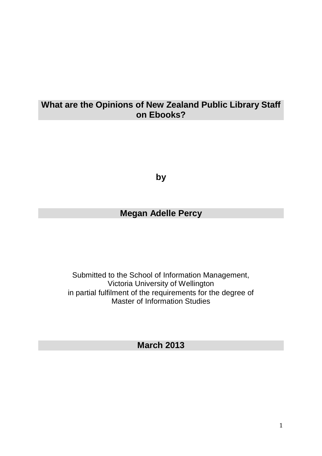# **What are the Opinions of New Zealand Public Library Staff on Ebooks?**

**by**

# **Megan Adelle Percy**

Submitted to the School of Information Management, Victoria University of Wellington in partial fulfilment of the requirements for the degree of Master of Information Studies

# **March 2013**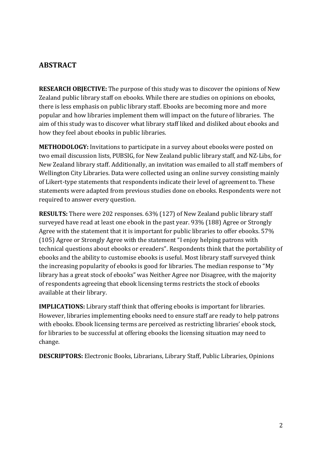## <span id="page-1-0"></span>**ABSTRACT**

<span id="page-1-1"></span>**RESEARCH OBJECTIVE:** The purpose of this study was to discover the opinions of New Zealand public library staff on ebooks. While there are studies on opinions on ebooks, there is less emphasis on public library staff. Ebooks are becoming more and more popular and how libraries implement them will impact on the future of libraries. The aim of this study was to discover what library staff liked and disliked about ebooks and how they feel about ebooks in public libraries.

<span id="page-1-2"></span>**METHODOLOGY:** Invitations to participate in a survey about ebooks were posted on two email discussion lists, PUBSIG, for New Zealand public library staff, and NZ-Libs, for New Zealand library staff. Additionally, an invitation was emailed to all staff members of Wellington City Libraries. Data were collected using an online survey consisting mainly of Likert-type statements that respondents indicate their level of agreement to. These statements were adapted from previous studies done on ebooks. Respondents were not required to answer every question.

<span id="page-1-3"></span>**RESULTS:** There were 202 responses. 63% (127) of New Zealand public library staff surveyed have read at least one ebook in the past year. 93% (188) Agree or Strongly Agree with the statement that it is important for public libraries to offer ebooks. 57% (105) Agree or Strongly Agree with the statement "I enjoy helping patrons with technical questions about ebooks or ereaders". Respondents think that the portability of ebooks and the ability to customise ebooks is useful. Most library staff surveyed think the increasing popularity of ebooks is good for libraries. The median response to "My library has a great stock of ebooks" was Neither Agree nor Disagree, with the majority of respondents agreeing that ebook licensing terms restricts the stock of ebooks available at their library.

<span id="page-1-4"></span>**IMPLICATIONS:** Library staff think that offering ebooks is important for libraries. However, libraries implementing ebooks need to ensure staff are ready to help patrons with ebooks. Ebook licensing terms are perceived as restricting libraries' ebook stock, for libraries to be successful at offering ebooks the licensing situation may need to change.

<span id="page-1-5"></span>**DESCRIPTORS:** Electronic Books, Librarians, Library Staff, Public Libraries, Opinions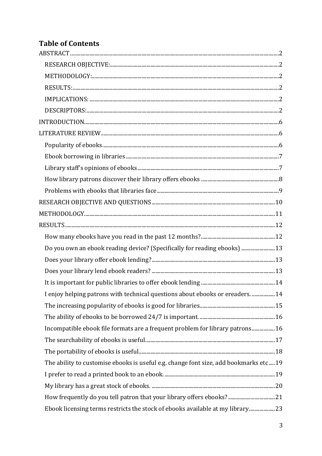# **Table of Contents**

| Do you own an ebook reading device? (Specifically for reading ebooks)  13             |  |
|---------------------------------------------------------------------------------------|--|
|                                                                                       |  |
|                                                                                       |  |
|                                                                                       |  |
| I enjoy helping patrons with technical questions about ebooks or ereaders14           |  |
|                                                                                       |  |
|                                                                                       |  |
| Incompatible ebook file formats are a frequent problem for library patrons 16         |  |
|                                                                                       |  |
|                                                                                       |  |
| The ability to customise ebooks is useful e.g. change font size, add bookmarks etc 19 |  |
|                                                                                       |  |
|                                                                                       |  |
|                                                                                       |  |
| Ebook licensing terms restricts the stock of ebooks available at my library23         |  |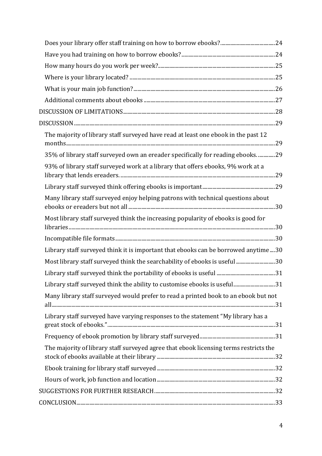| The majority of library staff surveyed have read at least one ebook in the past 12    |  |
|---------------------------------------------------------------------------------------|--|
| 35% of library staff surveyed own an ereader specifically for reading ebooks29        |  |
| 93% of library staff surveyed work at a library that offers ebooks, 9% work at a      |  |
|                                                                                       |  |
| Many library staff surveyed enjoy helping patrons with technical questions about      |  |
| Most library staff surveyed think the increasing popularity of ebooks is good for     |  |
|                                                                                       |  |
| Library staff surveyed think it is important that ebooks can be borrowed anytime30    |  |
| Most library staff surveyed think the searchability of ebooks is useful 30            |  |
|                                                                                       |  |
| Library staff surveyed think the ability to customise ebooks is useful31              |  |
| Many library staff surveyed would prefer to read a printed book to an ebook but not   |  |
| Library staff surveyed have varying responses to the statement "My library has a      |  |
|                                                                                       |  |
| The majority of library staff surveyed agree that ebook licensing terms restricts the |  |
|                                                                                       |  |
|                                                                                       |  |
|                                                                                       |  |
|                                                                                       |  |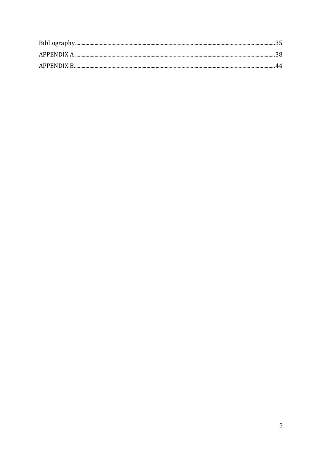<span id="page-4-0"></span>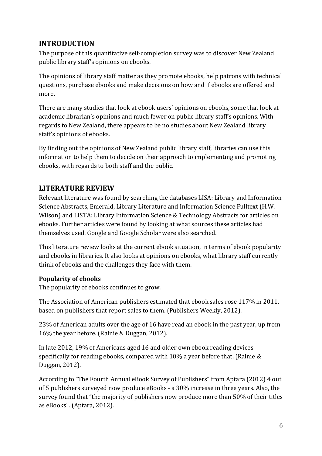# **INTRODUCTION**

The purpose of this quantitative self-completion survey was to discover New Zealand public library staff's opinions on ebooks.

The opinions of library staff matter as they promote ebooks, help patrons with technical questions, purchase ebooks and make decisions on how and if ebooks are offered and more.

There are many studies that look at ebook users' opinions on ebooks, some that look at academic librarian's opinions and much fewer on public library staff's opinions. With regards to New Zealand, there appears to be no studies about New Zealand library staff's opinions of ebooks.

By finding out the opinions of New Zealand public library staff, libraries can use this information to help them to decide on their approach to implementing and promoting ebooks, with regards to both staff and the public.

# <span id="page-5-0"></span>**LITERATURE REVIEW**

Relevant literature was found by searching the databases LISA: Library and Information Science Abstracts, Emerald, Library Literature and Information Science Fulltext (H.W. Wilson) and LISTA: Library Information Science & Technology Abstracts for articles on ebooks. Further articles were found by looking at what sources these articles had themselves used. Google and Google Scholar were also searched.

This literature review looks at the current ebook situation, in terms of ebook popularity and ebooks in libraries. It also looks at opinions on ebooks, what library staff currently think of ebooks and the challenges they face with them.

#### <span id="page-5-1"></span>**Popularity of ebooks**

The popularity of ebooks continues to grow.

The Association of American publishers estimated that ebook sales rose 117% in 2011, based on publishers that report sales to them. (Publishers Weekly, 2012).

23% of American adults over the age of 16 have read an ebook in the past year, up from 16% the year before. (Rainie & Duggan, 2012).

In late 2012, 19% of Americans aged 16 and older own ebook reading devices specifically for reading ebooks, compared with 10% a year before that. (Rainie & Duggan, 2012).

According to "The Fourth Annual eBook Survey of Publishers" from Aptara (2012) 4 out of 5 publishers surveyed now produce eBooks - a 30% increase in three years. Also, the survey found that "the majority of publishers now produce more than 50% of their titles as eBooks". (Aptara, 2012).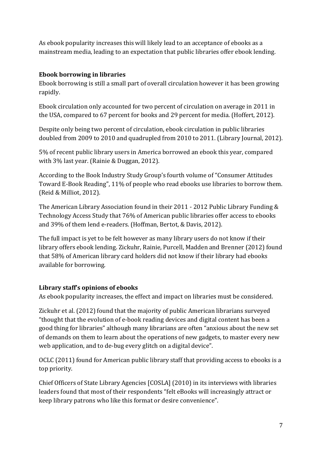As ebook popularity increases this will likely lead to an acceptance of ebooks as a mainstream media, leading to an expectation that public libraries offer ebook lending.

#### <span id="page-6-0"></span>**Ebook borrowing in libraries**

Ebook borrowing is still a small part of overall circulation however it has been growing rapidly.

Ebook circulation only accounted for two percent of circulation on average in 2011 in the USA, compared to 67 percent for books and 29 percent for media. (Hoffert, 2012).

Despite only being two percent of circulation, ebook circulation in public libraries doubled from 2009 to 2010 and quadrupled from 2010 to 2011. (Library Journal, 2012).

5% of recent public library users in America borrowed an ebook this year, compared with 3% last year. (Rainie & Duggan, 2012).

According to the Book Industry Study Group's fourth volume of "Consumer Attitudes Toward E-Book Reading", 11% of people who read ebooks use libraries to borrow them. (Reid & Milliot, 2012).

The American Library Association found in their 2011 - 2012 Public Library Funding & Technology Access Study that 76% of American public libraries offer access to ebooks and 39% of them lend e-readers. (Hoffman, Bertot, & Davis, 2012).

The full impact is yet to be felt however as many library users do not know if their library offers ebook lending. Zickuhr, Rainie, Purcell, Madden and Brenner (2012) found that 58% of American library card holders did not know if their library had ebooks available for borrowing.

#### <span id="page-6-1"></span>**Library staff's opinions of ebooks**

As ebook popularity increases, the effect and impact on libraries must be considered.

Zickuhr et al. (2012) found that the majority of public American librarians surveyed "thought that the evolution of e-book reading devices and digital content has been a good thing for libraries" although many librarians are often "anxious about the new set of demands on them to learn about the operations of new gadgets, to master every new web application, and to de-bug every glitch on a digital device".

OCLC (2011) found for American public library staff that providing access to ebooks is a top priority.

Chief Officers of State Library Agencies [COSLA] (2010) in its interviews with libraries leaders found that most of their respondents "felt eBooks will increasingly attract or keep library patrons who like this format or desire convenience".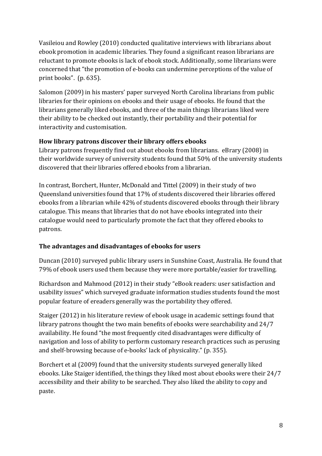Vasileiou and Rowley (2010) conducted qualitative interviews with librarians about ebook promotion in academic libraries. They found a significant reason librarians are reluctant to promote ebooks is lack of ebook stock. Additionally, some librarians were concerned that "the promotion of e-books can undermine perceptions of the value of print books". (p. 635).

Salomon (2009) in his masters' paper surveyed North Carolina librarians from public libraries for their opinions on ebooks and their usage of ebooks. He found that the librarians generally liked ebooks, and three of the main things librarians liked were their ability to be checked out instantly, their portability and their potential for interactivity and customisation.

#### <span id="page-7-0"></span>**How library patrons discover their library offers ebooks**

Library patrons frequently find out about ebooks from librarians. eBrary (2008) in their worldwide survey of university students found that 50% of the university students discovered that their libraries offered ebooks from a librarian.

In contrast, Borchert, Hunter, McDonald and Tittel (2009) in their study of two Queensland universities found that 17% of students discovered their libraries offered ebooks from a librarian while 42% of students discovered ebooks through their library catalogue. This means that libraries that do not have ebooks integrated into their catalogue would need to particularly promote the fact that they offered ebooks to patrons.

#### **The advantages and disadvantages of ebooks for users**

Duncan (2010) surveyed public library users in Sunshine Coast, Australia. He found that 79% of ebook users used them because they were more portable/easier for travelling.

Richardson and Mahmood (2012) in their study "eBook readers: user satisfaction and usability issues" which surveyed graduate information studies students found the most popular feature of ereaders generally was the portability they offered.

Staiger (2012) in his literature review of ebook usage in academic settings found that library patrons thought the two main benefits of ebooks were searchability and 24/7 availability. He found "the most frequently cited disadvantages were difficulty of navigation and loss of ability to perform customary research practices such as perusing and shelf-browsing because of e-books' lack of physicality." (p. 355).

Borchert et al (2009) found that the university students surveyed generally liked ebooks. Like Staiger identified, the things they liked most about ebooks were their 24/7 accessibility and their ability to be searched. They also liked the ability to copy and paste.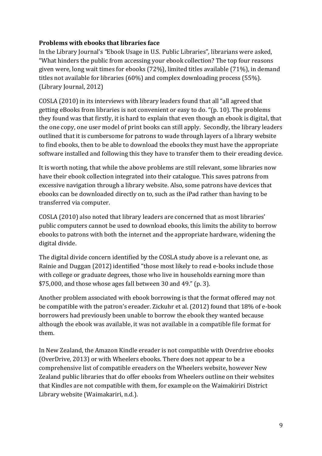#### <span id="page-8-0"></span>**Problems with ebooks that libraries face**

In the Library Journal's *"*Ebook Usage in U.S. Public Libraries"*,* librarians were asked, "What hinders the public from accessing your ebook collection? The top four reasons given were, long wait times for ebooks (72%), limited titles available (71%), in demand titles not available for libraries (60%) and complex downloading process (55%). (Library Journal, 2012)

COSLA (2010) in its interviews with library leaders found that all "all agreed that getting eBooks from libraries is not convenient or easy to do. "(p. 10). The problems they found was that firstly, it is hard to explain that even though an ebook is digital, that the one copy, one user model of print books can still apply. Secondly, the library leaders outlined that it is cumbersome for patrons to wade through layers of a library website to find ebooks, then to be able to download the ebooks they must have the appropriate software installed and following this they have to transfer them to their ereading device.

It is worth noting, that while the above problems are still relevant, some libraries now have their ebook collection integrated into their catalogue. This saves patrons from excessive navigation through a library website. Also, some patrons have devices that ebooks can be downloaded directly on to, such as the iPad rather than having to be transferred via computer.

COSLA (2010) also noted that library leaders are concerned that as most libraries' public computers cannot be used to download ebooks, this limits the ability to borrow ebooks to patrons with both the internet and the appropriate hardware, widening the digital divide.

The digital divide concern identified by the COSLA study above is a relevant one, as Rainie and Duggan (2012) identified "those most likely to read e-books include those with college or graduate degrees, those who live in households earning more than \$75,000, and those whose ages fall between 30 and 49." (p. 3).

Another problem associated with ebook borrowing is that the format offered may not be compatible with the patron's ereader. Zickuhr et al. (2012) found that 18% of e-book borrowers had previously been unable to borrow the ebook they wanted because although the ebook was available, it was not available in a compatible file format for them.

In New Zealand, the Amazon Kindle ereader is not compatible with Overdrive ebooks (OverDrive, 2013) or with Wheelers ebooks. There does not appear to be a comprehensive list of compatible ereaders on the Wheelers website, however New Zealand public libraries that do offer ebooks from Wheelers outline on their websites that Kindles are not compatible with them, for example on the Waimakiriri District Library website (Waimakariri, n.d.).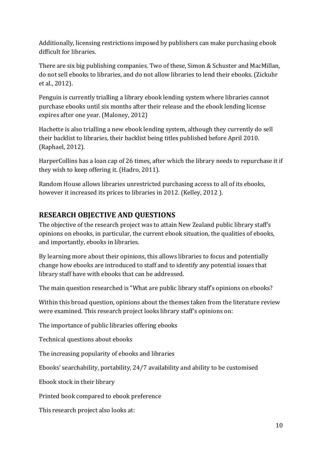Additionally, licensing restrictions imposed by publishers can make purchasing ebook difficult for libraries.

There are six big publishing companies. Two of these, Simon & Schuster and MacMillan, do not sell ebooks to libraries, and do not allow libraries to lend their ebooks. (Zickuhr et al., 2012).

Penguin is currently trialling a library ebook lending system where libraries cannot purchase ebooks until six months after their release and the ebook lending license expires after one year. (Maloney, 2012)

Hachette is also trialling a new ebook lending system, although they currently do sell their backlist to libraries, their backlist being titles published before April 2010. (Raphael, 2012).

HarperCollins has a loan cap of 26 times, after which the library needs to repurchase it if they wish to keep offering it. (Hadro, 2011).

Random House allows libraries unrestricted purchasing access to all of its ebooks, however it increased its prices to libraries in 2012. (Kelley, 2012 ).

# <span id="page-9-0"></span>**RESEARCH OBJECTIVE AND QUESTIONS**

The objective of the research project was to attain New Zealand public library staff's opinions on ebooks, in particular, the current ebook situation, the qualities of ebooks, and importantly, ebooks in libraries.

By learning more about their opinions, this allows libraries to focus and potentially change how ebooks are introduced to staff and to identify any potential issues that library staff have with ebooks that can be addressed.

The main question researched is "What are public library staff's opinions on ebooks?

Within this broad question, opinions about the themes taken from the literature review were examined. This research project looks library staff's opinions on:

The importance of public libraries offering ebooks

Technical questions about ebooks

The increasing popularity of ebooks and libraries

Ebooks' searchability, portability, 24/7 availability and ability to be customised

Ebook stock in their library

Printed book compared to ebook preference

This research project also looks at: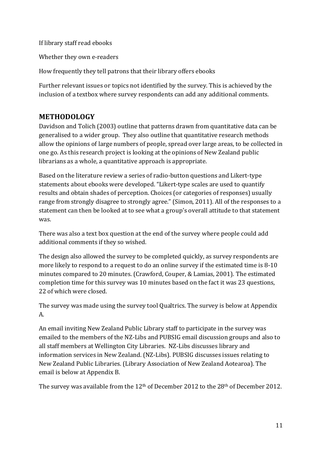If library staff read ebooks

Whether they own e-readers

How frequently they tell patrons that their library offers ebooks

Further relevant issues or topics not identified by the survey. This is achieved by the inclusion of a textbox where survey respondents can add any additional comments.

# <span id="page-10-0"></span>**METHODOLOGY**

Davidson and Tolich (2003) outline that patterns drawn from quantitative data can be generalised to a wider group. They also outline that quantitative research methods allow the opinions of large numbers of people, spread over large areas, to be collected in one go. As this research project is looking at the opinions of New Zealand public librarians as a whole, a quantitative approach is appropriate.

Based on the literature review a series of radio-button questions and Likert-type statements about ebooks were developed. "Likert-type scales are used to quantify results and obtain shades of perception. Choices (or categories of responses) usually range from strongly disagree to strongly agree." (Simon, 2011). All of the responses to a statement can then be looked at to see what a group's overall attitude to that statement was.

There was also a text box question at the end of the survey where people could add additional comments if they so wished.

The design also allowed the survey to be completed quickly, as survey respondents are more likely to respond to a request to do an online survey if the estimated time is 8-10 minutes compared to 20 minutes. (Crawford, Couper, & Lamias, 2001). The estimated completion time for this survey was 10 minutes based on the fact it was 23 questions, 22 of which were closed.

The survey was made using the survey tool Qualtrics. The survey is below at Appendix A.

An email inviting New Zealand Public Library staff to participate in the survey was emailed to the members of the NZ-Libs and PUBSIG email discussion groups and also to all staff members at Wellington City Libraries. NZ-Libs discusses library and information services in New Zealand. (NZ-Libs). PUBSIG discusses issues relating to New Zealand Public Libraries. (Library Association of New Zealand Aotearoa). The email is below at Appendix B.

The survey was available from the 12<sup>th</sup> of December 2012 to the 28<sup>th</sup> of December 2012.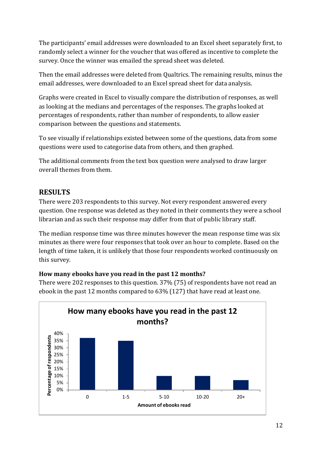The participants' email addresses were downloaded to an Excel sheet separately first, to randomly select a winner for the voucher that was offered as incentive to complete the survey. Once the winner was emailed the spread sheet was deleted.

Then the email addresses were deleted from Qualtrics. The remaining results, minus the email addresses, were downloaded to an Excel spread sheet for data analysis.

Graphs were created in Excel to visually compare the distribution of responses, as well as looking at the medians and percentages of the responses. The graphs looked at percentages of respondents, rather than number of respondents, to allow easier comparison between the questions and statements.

To see visually if relationships existed between some of the questions, data from some questions were used to categorise data from others, and then graphed.

The additional comments from the text box question were analysed to draw larger overall themes from them.

# <span id="page-11-0"></span>**RESULTS**

There were 203 respondents to this survey. Not every respondent answered every question. One response was deleted as they noted in their comments they were a school librarian and as such their response may differ from that of public library staff.

The median response time was three minutes however the mean response time was six minutes as there were four responses that took over an hour to complete. Based on the length of time taken, it is unlikely that those four respondents worked continuously on this survey.

#### <span id="page-11-1"></span>**How many ebooks have you read in the past 12 months?**

There were 202 responses to this question. 37% (75) of respondents have not read an ebook in the past 12 months compared to 63% (127) that have read at least one.

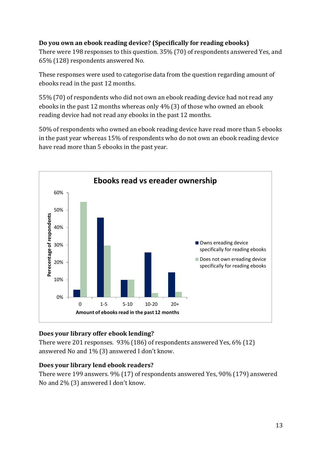#### <span id="page-12-0"></span>**Do you own an ebook reading device? (Specifically for reading ebooks)**

There were 198 responses to this question. 35% (70) of respondents answered Yes, and 65% (128) respondents answered No.

These responses were used to categorise data from the question regarding amount of ebooks read in the past 12 months.

55% (70) of respondents who did not own an ebook reading device had not read any ebooks in the past 12 months whereas only 4% (3) of those who owned an ebook reading device had not read any ebooks in the past 12 months.

50% of respondents who owned an ebook reading device have read more than 5 ebooks in the past year whereas 15% of respondents who do not own an ebook reading device have read more than 5 ebooks in the past year.



#### <span id="page-12-1"></span>**Does your library offer ebook lending?**

There were 201 responses. 93% (186) of respondents answered Yes, 6% (12) answered No and 1% (3) answered I don't know.

#### <span id="page-12-2"></span>**Does your library lend ebook readers?**

There were 199 answers. 9% (17) of respondents answered Yes, 90% (179) answered No and 2% (3) answered I don't know.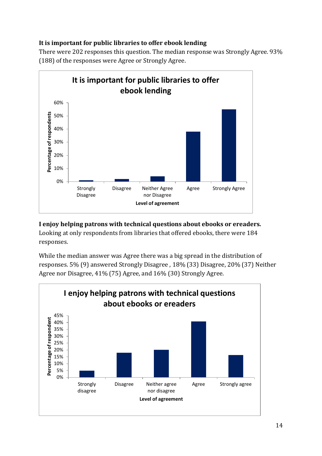#### <span id="page-13-0"></span>**It is important for public libraries to offer ebook lending**

There were 202 responses this question. The median response was Strongly Agree. 93% (188) of the responses were Agree or Strongly Agree.



<span id="page-13-1"></span>**I enjoy helping patrons with technical questions about ebooks or ereaders.** Looking at only respondents from libraries that offered ebooks, there were 184

responses.

While the median answer was Agree there was a big spread in the distribution of responses. 5% (9) answered Strongly Disagree , 18% (33) Disagree, 20% (37) Neither Agree nor Disagree, 41% (75) Agree, and 16% (30) Strongly Agree.

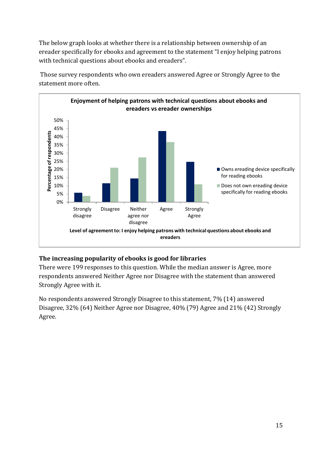The below graph looks at whether there is a relationship between ownership of an ereader specifically for ebooks and agreement to the statement "I enjoy helping patrons with technical questions about ebooks and ereaders".



Those survey respondents who own ereaders answered Agree or Strongly Agree to the statement more often.

#### <span id="page-14-0"></span>**The increasing popularity of ebooks is good for libraries**

There were 199 responses to this question. While the median answer is Agree, more respondents answered Neither Agree nor Disagree with the statement than answered Strongly Agree with it.

No respondents answered Strongly Disagree to this statement, 7% (14) answered Disagree, 32% (64) Neither Agree nor Disagree, 40% (79) Agree and 21% (42) Strongly Agree.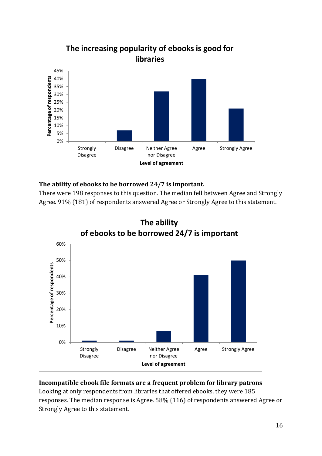

#### <span id="page-15-0"></span>**The ability of ebooks to be borrowed 24/7 is important.**

There were 198 responses to this question. The median fell between Agree and Strongly Agree. 91% (181) of respondents answered Agree or Strongly Agree to this statement.



#### <span id="page-15-1"></span>**Incompatible ebook file formats are a frequent problem for library patrons**

Looking at only respondents from libraries that offered ebooks, they were 185 responses. The median response is Agree. 58% (116) of respondents answered Agree or Strongly Agree to this statement.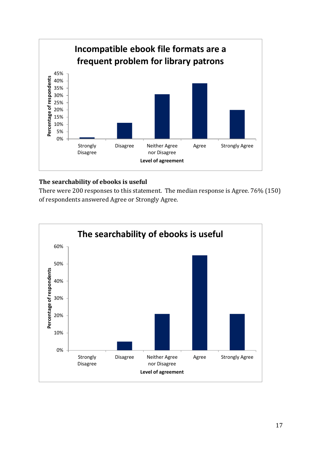

#### <span id="page-16-0"></span>**The searchability of ebooks is useful**

There were 200 responses to this statement. The median response is Agree. 76% (150) of respondents answered Agree or Strongly Agree.

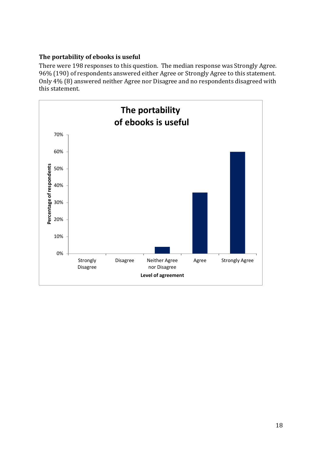#### <span id="page-17-0"></span>**The portability of ebooks is useful**

There were 198 responses to this question. The median response was Strongly Agree. 96% (190) of respondents answered either Agree or Strongly Agree to this statement. Only 4% (8) answered neither Agree nor Disagree and no respondents disagreed with this statement.

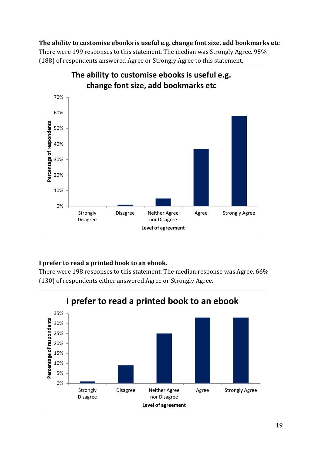#### <span id="page-18-0"></span>**The ability to customise ebooks is useful e.g. change font size, add bookmarks etc**

There were 199 responses to this statement. The median was Strongly Agree. 95% (188) of respondents answered Agree or Strongly Agree to this statement.



#### <span id="page-18-1"></span>**I prefer to read a printed book to an ebook.**

There were 198 responses to this statement. The median response was Agree. 66% (130) of respondents either answered Agree or Strongly Agree.

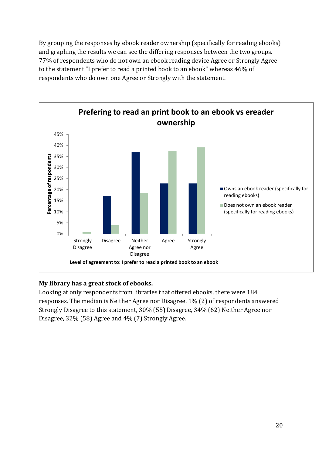By grouping the responses by ebook reader ownership (specifically for reading ebooks) and graphing the results we can see the differing responses between the two groups. 77% of respondents who do not own an ebook reading device Agree or Strongly Agree to the statement "I prefer to read a printed book to an ebook" whereas 46% of respondents who do own one Agree or Strongly with the statement.



#### <span id="page-19-0"></span>**My library has a great stock of ebooks.**

Looking at only respondents from libraries that offered ebooks, there were 184 responses. The median is Neither Agree nor Disagree. 1% (2) of respondents answered Strongly Disagree to this statement, 30% (55) Disagree, 34% (62) Neither Agree nor Disagree, 32% (58) Agree and 4% (7) Strongly Agree.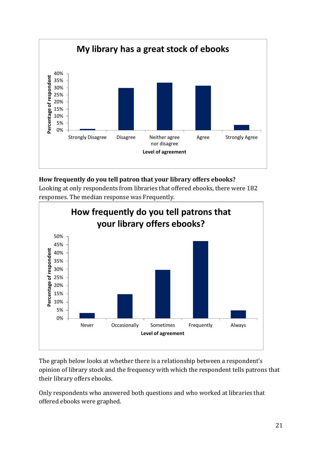

## <span id="page-20-0"></span>**How frequently do you tell patron that your library offers ebooks?**

Looking at only respondents from libraries that offered ebooks, there were 182 responses. The median response was Frequently.



The graph below looks at whether there is a relationship between a respondent's opinion of library stock and the frequency with which the respondent tells patrons that their library offers ebooks.

Only respondents who answered both questions and who worked at libraries that offered ebooks were graphed.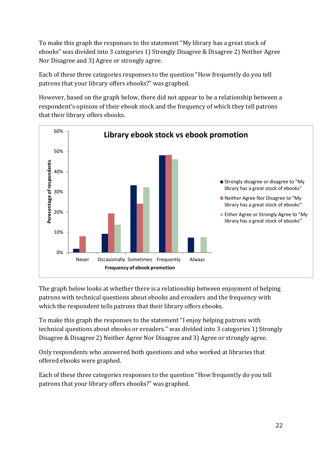To make this graph the responses to the statement "My library has a great stock of ebooks" was divided into 3 categories 1) Strongly Disagree & Disagree 2) Neither Agree Nor Disagree and 3) Agree or strongly agree.

Each of these three categories responses to the question "How frequently do you tell patrons that your library offers ebooks?" was graphed.

However, based on the graph below, there did not appear to be a relationship between a respondent's opinion of their ebook stock and the frequency of which they tell patrons that their library offers ebooks.



The graph below looks at whether there is a relationship between enjoyment of helping patrons with technical questions about ebooks and ereaders and the frequency with which the respondent tells patrons that their library offers ebooks.

To make this graph the responses to the statement "I enjoy helping patrons with technical questions about ebooks or ereaders." was divided into 3 categories 1) Strongly Disagree & Disagree 2) Neither Agree Nor Disagree and 3) Agree or strongly agree.

Only respondents who answered both questions and who worked at libraries that offered ebooks were graphed.

Each of these three categories responses to the question "How frequently do you tell patrons that your library offers ebooks?" was graphed.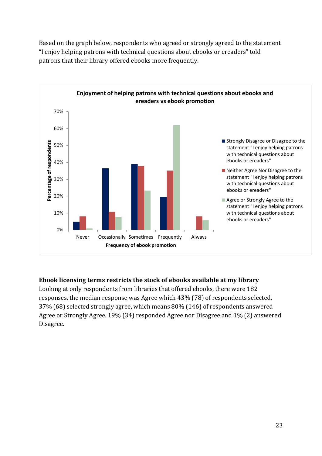Based on the graph below, respondents who agreed or strongly agreed to the statement "I enjoy helping patrons with technical questions about ebooks or ereaders" told patrons that their library offered ebooks more frequently.



#### <span id="page-22-0"></span>**Ebook licensing terms restricts the stock of ebooks available at my library**

Looking at only respondents from libraries that offered ebooks, there were 182 responses, the median response was Agree which 43% (78) of respondents selected. 37% (68) selected strongly agree, which means 80% (146) of respondents answered Agree or Strongly Agree. 19% (34) responded Agree nor Disagree and 1% (2) answered Disagree.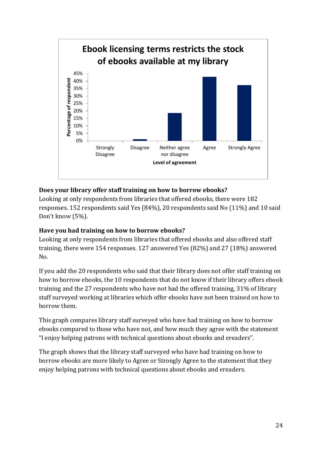

#### <span id="page-23-0"></span>**Does your library offer staff training on how to borrow ebooks?**

Looking at only respondents from libraries that offered ebooks, there were 182 responses. 152 respondents said Yes (84%), 20 respondents said No (11%) and 10 said Don't know (5%).

#### <span id="page-23-1"></span>**Have you had training on how to borrow ebooks?**

Looking at only respondents from libraries that offered ebooks and also offered staff training, there were 154 responses. 127 answered Yes (82%) and 27 (18%) answered No.

If you add the 20 respondents who said that their library does not offer staff training on how to borrow ebooks, the 10 respondents that do not know if their library offers ebook training and the 27 respondents who have not had the offered training, 31% of library staff surveyed working at libraries which offer ebooks have not been trained on how to borrow them.

This graph compares library staff surveyed who have had training on how to borrow ebooks compared to those who have not, and how much they agree with the statement "I enjoy helping patrons with technical questions about ebooks and ereaders".

The graph shows that the library staff surveyed who have had training on how to borrow ebooks are more likely to Agree or Strongly Agree to the statement that they enjoy helping patrons with technical questions about ebooks and ereaders.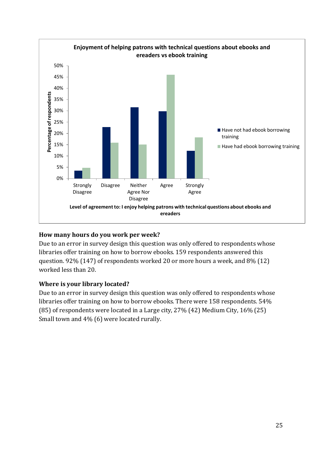

#### <span id="page-24-0"></span>**How many hours do you work per week?**

Due to an error in survey design this question was only offered to respondents whose libraries offer training on how to borrow ebooks. 159 respondents answered this question. 92% (147) of respondents worked 20 or more hours a week, and 8% (12) worked less than 20.

#### <span id="page-24-1"></span>**Where is your library located?**

Due to an error in survey design this question was only offered to respondents whose libraries offer training on how to borrow ebooks. There were 158 respondents. 54% (85) of respondents were located in a Large city, 27% (42) Medium City, 16% (25) Small town and 4% (6) were located rurally.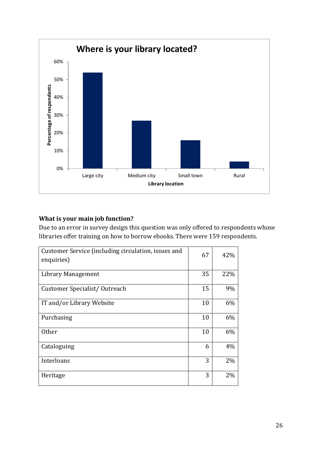

#### <span id="page-25-0"></span>**What is your main job function?**

Due to an error in survey design this question was only offered to respondents whose libraries offer training on how to borrow ebooks. There were 159 respondents.

| Customer Service (including circulation, issues and<br>enquiries) | 67 | 42% |
|-------------------------------------------------------------------|----|-----|
| Library Management                                                | 35 | 22% |
| Customer Specialist/Outreach                                      | 15 | 9%  |
| IT and/or Library Website                                         | 10 | 6%  |
| Purchasing                                                        | 10 | 6%  |
| <b>Other</b>                                                      | 10 | 6%  |
| Cataloguing                                                       | 6  | 4%  |
| Interloans                                                        | 3  | 2%  |
| Heritage                                                          | 3  | 2%  |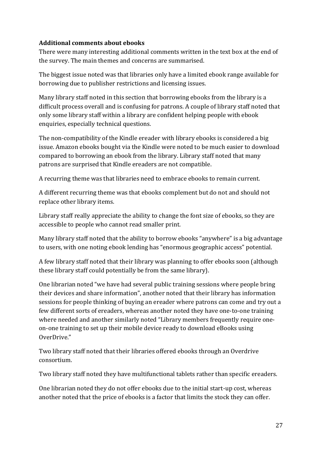#### <span id="page-26-0"></span>**Additional comments about ebooks**

There were many interesting additional comments written in the text box at the end of the survey. The main themes and concerns are summarised.

The biggest issue noted was that libraries only have a limited ebook range available for borrowing due to publisher restrictions and licensing issues.

Many library staff noted in this section that borrowing ebooks from the library is a difficult process overall and is confusing for patrons. A couple of library staff noted that only some library staff within a library are confident helping people with ebook enquiries, especially technical questions.

The non-compatibility of the Kindle ereader with library ebooks is considered a big issue. Amazon ebooks bought via the Kindle were noted to be much easier to download compared to borrowing an ebook from the library. Library staff noted that many patrons are surprised that Kindle ereaders are not compatible.

A recurring theme was that libraries need to embrace ebooks to remain current.

A different recurring theme was that ebooks complement but do not and should not replace other library items.

Library staff really appreciate the ability to change the font size of ebooks, so they are accessible to people who cannot read smaller print.

Many library staff noted that the ability to borrow ebooks "anywhere" is a big advantage to users, with one noting ebook lending has "enormous geographic access" potential.

A few library staff noted that their library was planning to offer ebooks soon (although these library staff could potentially be from the same library).

One librarian noted "we have had several public training sessions where people bring their devices and share information", another noted that their library has information sessions for people thinking of buying an ereader where patrons can come and try out a few different sorts of ereaders, whereas another noted they have one-to-one training where needed and another similarly noted "Library members frequently require oneon-one training to set up their mobile device ready to download eBooks using OverDrive."

Two library staff noted that their libraries offered ebooks through an Overdrive consortium.

Two library staff noted they have multifunctional tablets rather than specific ereaders.

One librarian noted they do not offer ebooks due to the initial start-up cost, whereas another noted that the price of ebooks is a factor that limits the stock they can offer.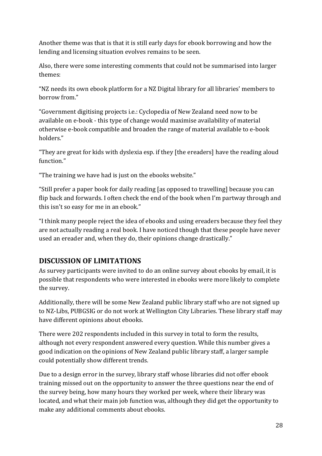Another theme was that is that it is still early days for ebook borrowing and how the lending and licensing situation evolves remains to be seen.

Also, there were some interesting comments that could not be summarised into larger themes:

"NZ needs its own ebook platform for a NZ Digital library for all libraries' members to borrow from."

"Government digitising projects i.e.: Cyclopedia of New Zealand need now to be available on e-book - this type of change would maximise availability of material otherwise e-book compatible and broaden the range of material available to e-book holders."

"They are great for kids with dyslexia esp. if they [the ereaders] have the reading aloud function."

"The training we have had is just on the ebooks website."

"Still prefer a paper book for daily reading [as opposed to travelling] because you can flip back and forwards. I often check the end of the book when I'm partway through and this isn't so easy for me in an ebook."

"I think many people reject the idea of ebooks and using ereaders because they feel they are not actually reading a real book. I have noticed though that these people have never used an ereader and, when they do, their opinions change drastically."

# <span id="page-27-0"></span>**DISCUSSION OF LIMITATIONS**

As survey participants were invited to do an online survey about ebooks by email, it is possible that respondents who were interested in ebooks were more likely to complete the survey.

Additionally, there will be some New Zealand public library staff who are not signed up to NZ-Libs, PUBGSIG or do not work at Wellington City Libraries. These library staff may have different opinions about ebooks.

There were 202 respondents included in this survey in total to form the results, although not every respondent answered every question. While this number gives a good indication on the opinions of New Zealand public library staff, a larger sample could potentially show different trends.

Due to a design error in the survey, library staff whose libraries did not offer ebook training missed out on the opportunity to answer the three questions near the end of the survey being, how many hours they worked per week, where their library was located, and what their main job function was, although they did get the opportunity to make any additional comments about ebooks.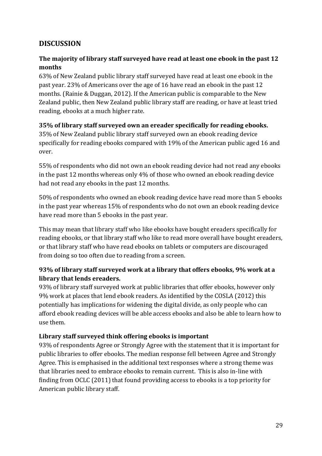# <span id="page-28-0"></span>**DISCUSSION**

#### <span id="page-28-1"></span>**The majority of library staff surveyed have read at least one ebook in the past 12 months**

63% of New Zealand public library staff surveyed have read at least one ebook in the past year. 23% of Americans over the age of 16 have read an ebook in the past 12 months. (Rainie & Duggan, 2012). If the American public is comparable to the New Zealand public, then New Zealand public library staff are reading, or have at least tried reading, ebooks at a much higher rate.

#### <span id="page-28-2"></span>**35% of library staff surveyed own an ereader specifically for reading ebooks.**

35% of New Zealand public library staff surveyed own an ebook reading device specifically for reading ebooks compared with 19% of the American public aged 16 and over.

55% of respondents who did not own an ebook reading device had not read any ebooks in the past 12 months whereas only 4% of those who owned an ebook reading device had not read any ebooks in the past 12 months.

50% of respondents who owned an ebook reading device have read more than 5 ebooks in the past year whereas 15% of respondents who do not own an ebook reading device have read more than 5 ebooks in the past year.

This may mean that library staff who like ebooks have bought ereaders specifically for reading ebooks, or that library staff who like to read more overall have bought ereaders, or that library staff who have read ebooks on tablets or computers are discouraged from doing so too often due to reading from a screen.

#### <span id="page-28-3"></span>**93% of library staff surveyed work at a library that offers ebooks, 9% work at a library that lends ereaders.**

93% of library staff surveyed work at public libraries that offer ebooks, however only 9% work at places that lend ebook readers. As identified by the COSLA (2012) this potentially has implications for widening the digital divide, as only people who can afford ebook reading devices will be able access ebooks and also be able to learn how to use them.

#### <span id="page-28-4"></span>**Library staff surveyed think offering ebooks is important**

93% of respondents Agree or Strongly Agree with the statement that it is important for public libraries to offer ebooks. The median response fell between Agree and Strongly Agree. This is emphasised in the additional text responses where a strong theme was that libraries need to embrace ebooks to remain current. This is also in-line with finding from OCLC (2011) that found providing access to ebooks is a top priority for American public library staff.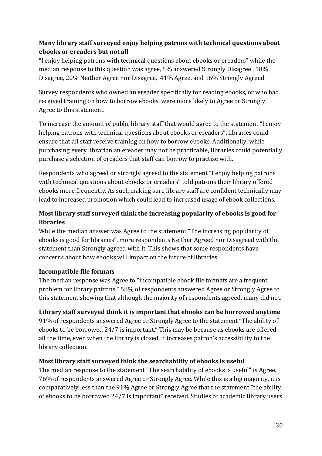## <span id="page-29-0"></span>**Many library staff surveyed enjoy helping patrons with technical questions about ebooks or ereaders but not all**

"I enjoy helping patrons with technical questions about ebooks or ereaders" while the median response to this question was agree, 5% answered Strongly Disagree , 18% Disagree, 20% Neither Agree nor Disagree, 41% Agree, and 16% Strongly Agreed.

Survey respondents who owned an ereader specifically for reading ebooks, or who had received training on how to borrow ebooks, were more likely to Agree or Strongly Agree to this statement.

To increase the amount of public library staff that would agree to the statement "I enjoy helping patrons with technical questions about ebooks or ereaders", libraries could ensure that all staff receive training on how to borrow ebooks. Additionally, while purchasing every librarian an ereader may not be practicable, libraries could potentially purchase a selection of ereaders that staff can borrow to practise with.

Respondents who agreed or strongly agreed to the statement "I enjoy helping patrons with technical questions about ebooks or ereaders" told patrons their library offered ebooks more frequently. As such making sure library staff are confident technically may lead to increased promotion which could lead to increased usage of ebook collections.

## <span id="page-29-1"></span>**Most library staff surveyed think the increasing popularity of ebooks is good for libraries**

While the median answer was Agree to the statement "The increasing popularity of ebooks is good for libraries", more respondents Neither Agreed nor Disagreed with the statement than Strongly agreed with it. This shows that some respondents have concerns about how ebooks will impact on the future of libraries.

#### <span id="page-29-2"></span>**Incompatible file formats**

The median response was Agree to "incompatible ebook file formats are a frequent problem for library patrons." 58% of respondents answered Agree or Strongly Agree to this statement showing that although the majority of respondents agreed, many did not.

#### <span id="page-29-3"></span>**Library staff surveyed think it is important that ebooks can be borrowed anytime**

91% of respondents answered Agree or Strongly Agree to the statement "The ability of ebooks to be borrowed 24/7 is important." This may be because as ebooks are offered all the time, even when the library is closed, it increases patron's accessibility to the library collection.

#### <span id="page-29-4"></span>**Most library staff surveyed think the searchability of ebooks is useful**

The median response to the statement "The searchability of ebooks is useful" is Agree. 76% of respondents answered Agree or Strongly Agree. While this is a big majority, it is comparatively less than the 91% Agree or Strongly Agree that the statement "the ability of ebooks to be borrowed 24/7 is important" received. Studies of academic library users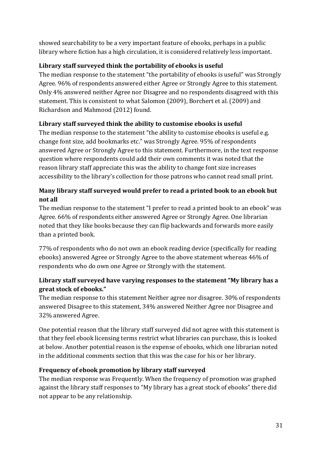showed searchability to be a very important feature of ebooks, perhaps in a public library where fiction has a high circulation, it is considered relatively less important.

### <span id="page-30-0"></span>**Library staff surveyed think the portability of ebooks is useful**

The median response to the statement "the portability of ebooks is useful" was Strongly Agree. 96% of respondents answered either Agree or Strongly Agree to this statement. Only 4% answered neither Agree nor Disagree and no respondents disagreed with this statement. This is consistent to what Salomon (2009), Borchert et al. (2009) and Richardson and Mahmood (2012) found.

## <span id="page-30-1"></span>**Library staff surveyed think the ability to customise ebooks is useful**

The median response to the statement "the ability to customise ebooks is useful e.g. change font size, add bookmarks etc." was Strongly Agree. 95% of respondents answered Agree or Strongly Agree to this statement. Furthermore, in the text response question where respondents could add their own comments it was noted that the reason library staff appreciate this was the ability to change font size increases accessibility to the library's collection for those patrons who cannot read small print.

# <span id="page-30-2"></span>**Many library staff surveyed would prefer to read a printed book to an ebook but not all**

The median response to the statement "I prefer to read a printed book to an ebook" was Agree. 66% of respondents either answered Agree or Strongly Agree. One librarian noted that they like books because they can flip backwards and forwards more easily than a printed book.

77% of respondents who do not own an ebook reading device (specifically for reading ebooks) answered Agree or Strongly Agree to the above statement whereas 46% of respondents who do own one Agree or Strongly with the statement.

## <span id="page-30-3"></span>**Library staff surveyed have varying responses to the statement "My library has a great stock of ebooks."**

The median response to this statement Neither agree nor disagree. 30% of respondents answered Disagree to this statement, 34% answered Neither Agree nor Disagree and 32% answered Agree.

One potential reason that the library staff surveyed did not agree with this statement is that they feel ebook licensing terms restrict what libraries can purchase, this is looked at below. Another potential reason is the expense of ebooks, which one librarian noted in the additional comments section that this was the case for his or her library.

# <span id="page-30-4"></span>**Frequency of ebook promotion by library staff surveyed**

The median response was Frequently. When the frequency of promotion was graphed against the library staff responses to "My library has a great stock of ebooks" there did not appear to be any relationship.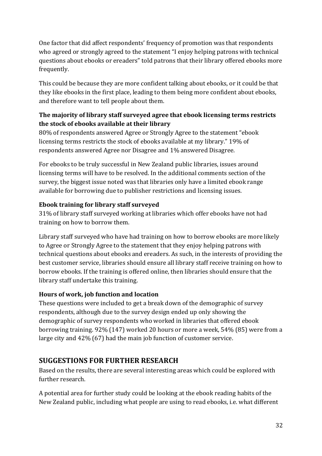One factor that did affect respondents' frequency of promotion was that respondents who agreed or strongly agreed to the statement "I enjoy helping patrons with technical questions about ebooks or ereaders" told patrons that their library offered ebooks more frequently.

This could be because they are more confident talking about ebooks, or it could be that they like ebooks in the first place, leading to them being more confident about ebooks, and therefore want to tell people about them.

## <span id="page-31-0"></span>**The majority of library staff surveyed agree that ebook licensing terms restricts the stock of ebooks available at their library**

80% of respondents answered Agree or Strongly Agree to the statement "ebook licensing terms restricts the stock of ebooks available at my library." 19% of respondents answered Agree nor Disagree and 1% answered Disagree.

For ebooks to be truly successful in New Zealand public libraries, issues around licensing terms will have to be resolved. In the additional comments section of the survey, the biggest issue noted was that libraries only have a limited ebook range available for borrowing due to publisher restrictions and licensing issues.

#### <span id="page-31-1"></span>**Ebook training for library staff surveyed**

31% of library staff surveyed working at libraries which offer ebooks have not had training on how to borrow them.

Library staff surveyed who have had training on how to borrow ebooks are more likely to Agree or Strongly Agree to the statement that they enjoy helping patrons with technical questions about ebooks and ereaders. As such, in the interests of providing the best customer service, libraries should ensure all library staff receive training on how to borrow ebooks. If the training is offered online, then libraries should ensure that the library staff undertake this training.

#### <span id="page-31-2"></span>**Hours of work, job function and location**

These questions were included to get a break down of the demographic of survey respondents, although due to the survey design ended up only showing the demographic of survey respondents who worked in libraries that offered ebook borrowing training. 92% (147) worked 20 hours or more a week, 54% (85) were from a large city and 42% (67) had the main job function of customer service.

# <span id="page-31-3"></span>**SUGGESTIONS FOR FURTHER RESEARCH**

Based on the results, there are several interesting areas which could be explored with further research.

A potential area for further study could be looking at the ebook reading habits of the New Zealand public, including what people are using to read ebooks, i.e. what different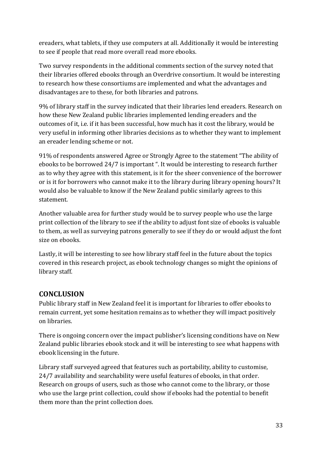ereaders, what tablets, if they use computers at all. Additionally it would be interesting to see if people that read more overall read more ebooks.

Two survey respondents in the additional comments section of the survey noted that their libraries offered ebooks through an Overdrive consortium. It would be interesting to research how these consortiums are implemented and what the advantages and disadvantages are to these, for both libraries and patrons.

9% of library staff in the survey indicated that their libraries lend ereaders. Research on how these New Zealand public libraries implemented lending ereaders and the outcomes of it, i.e. if it has been successful, how much has it cost the library, would be very useful in informing other libraries decisions as to whether they want to implement an ereader lending scheme or not.

91% of respondents answered Agree or Strongly Agree to the statement "The ability of ebooks to be borrowed 24/7 is important ". It would be interesting to research further as to why they agree with this statement, is it for the sheer convenience of the borrower or is it for borrowers who cannot make it to the library during library opening hours? It would also be valuable to know if the New Zealand public similarly agrees to this statement.

Another valuable area for further study would be to survey people who use the large print collection of the library to see if the ability to adjust font size of ebooks is valuable to them, as well as surveying patrons generally to see if they do or would adjust the font size on ebooks.

Lastly, it will be interesting to see how library staff feel in the future about the topics covered in this research project, as ebook technology changes so might the opinions of library staff.

# <span id="page-32-0"></span>**CONCLUSION**

Public library staff in New Zealand feel it is important for libraries to offer ebooks to remain current, yet some hesitation remains as to whether they will impact positively on libraries.

There is ongoing concern over the impact publisher's licensing conditions have on New Zealand public libraries ebook stock and it will be interesting to see what happens with ebook licensing in the future.

Library staff surveyed agreed that features such as portability, ability to customise, 24/7 availability and searchability were useful features of ebooks, in that order. Research on groups of users, such as those who cannot come to the library, or those who use the large print collection, could show if ebooks had the potential to benefit them more than the print collection does.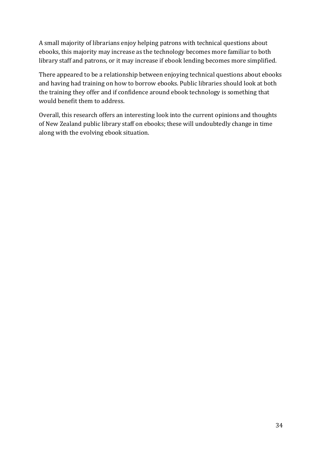A small majority of librarians enjoy helping patrons with technical questions about ebooks, this majority may increase as the technology becomes more familiar to both library staff and patrons, or it may increase if ebook lending becomes more simplified.

There appeared to be a relationship between enjoying technical questions about ebooks and having had training on how to borrow ebooks. Public libraries should look at both the training they offer and if confidence around ebook technology is something that would benefit them to address.

Overall, this research offers an interesting look into the current opinions and thoughts of New Zealand public library staff on ebooks; these will undoubtedly change in time along with the evolving ebook situation.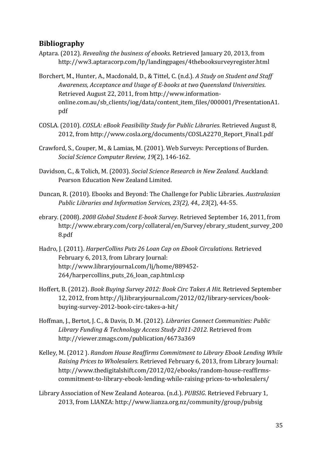## <span id="page-34-0"></span>**Bibliography**

- Aptara. (2012). *Revealing the business of ebooks*. Retrieved January 20, 2013, from http://ww3.aptaracorp.com/lp/landingpages/4thebooksurveyregister.html
- Borchert, M., Hunter, A., Macdonald, D., & Tittel, C. (n.d.). *A Study on Student and Staff Awareness, Acceptance and Usage of E-books at two Queensland Universities*. Retrieved August 22, 2011, from http://www.informationonline.com.au/sb\_clients/iog/data/content\_item\_files/000001/PresentationA1. pdf
- COSLA. (2010). *COSLA: eBook Feasibility Study for Public Libraries*. Retrieved August 8, 2012, from http://www.cosla.org/documents/COSLA2270\_Report\_Final1.pdf
- Crawford, S., Couper, M., & Lamias, M. (2001). Web Surveys: Perceptions of Burden. *Social Science Computer Review, 19*(2), 146-162.
- Davidson, C., & Tolich, M. (2003). *Social Science Research in New Zealand.* Auckland: Pearson Education New Zealand Limited.
- Duncan, R. (2010). Ebooks and Beyond: The Challenge for Public Libraries. *Australasian Public Libraries and Information Services, 23(2), 44., 23*(2), 44-55.
- ebrary. (2008). *2008 Global Student E-book Survey*. Retrieved September 16, 2011, from http://www.ebrary.com/corp/collateral/en/Survey/ebrary\_student\_survey\_200 8.pdf
- Hadro, J. (2011). *HarperCollins Puts 26 Loan Cap on Ebook Circulations.* Retrieved February 6, 2013, from Library Journal: http://www.libraryjournal.com/lj/home/889452- 264/harpercollins\_puts\_26\_loan\_cap.html.csp
- Hoffert, B. (2012). *Book Buying Survey 2012: Book Circ Takes A Hit*. Retrieved September 12, 2012, from http://lj.libraryjournal.com/2012/02/library-services/bookbuying-survey-2012-book-circ-takes-a-hit/
- Hoffman, J., Bertot, J. C., & Davis, D. M. (2012). *Libraries Connect Communities: Public Library Funding & Technology Access Study 2011-2012.* Retrieved from http://viewer.zmags.com/publication/4673a369
- Kelley, M. (2012 ). *Random House Reaffirms Commitment to Library Ebook Lending While Raising Prices to Wholesalers.* Retrieved February 6, 2013, from Library Journal: http://www.thedigitalshift.com/2012/02/ebooks/random-house-reaffirmscommitment-to-library-ebook-lending-while-raising-prices-to-wholesalers/
- Library Association of New Zealand Aotearoa. (n.d.). *PUBSIG*. Retrieved February 1, 2013, from LIANZA: http://www.lianza.org.nz/community/group/pubsig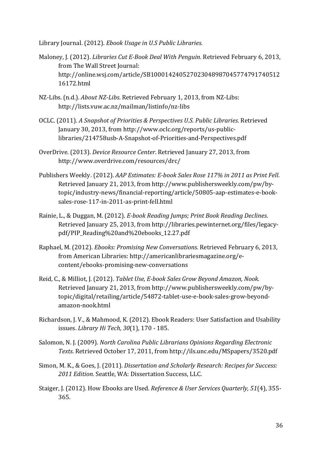Library Journal. (2012). *Ebook Usage in U.S Public Libraries.*

- Maloney, J. (2012). *Libraries Cut E-Book Deal With Penguin.* Retrieved February 6, 2013, from The Wall Street Journal: http://online.wsj.com/article/SB100014240527023048987045774791740512 16172.html
- NZ-Libs. (n.d.). *About NZ-Libs*. Retrieved February 1, 2013, from NZ-Libs: http://lists.vuw.ac.nz/mailman/listinfo/nz-libs
- OCLC. (2011). *A Snapshot of Priorities & Perspectives U.S. Public Libraries*. Retrieved January 30, 2013, from http://www.oclc.org/reports/us-publiclibraries/214758usb-A-Snapshot-of-Priorities-and-Perspectives.pdf
- OverDrive. (2013). *Device Resource Center*. Retrieved January 27, 2013, from http://www.overdrive.com/resources/drc/
- Publishers Weekly. (2012). *AAP Estimates: E-book Sales Rose 117% in 2011 as Print Fell*. Retrieved January 21, 2013, from http://www.publishersweekly.com/pw/bytopic/industry-news/financial-reporting/article/50805-aap-estimates-e-booksales-rose-117-in-2011-as-print-fell.html
- Rainie, L., & Duggan, M. (2012). *E-book Reading Jumps; Print Book Reading Declines*. Retrieved January 25, 2013, from http://libraries.pewinternet.org/files/legacypdf/PIP\_Reading%20and%20ebooks\_12.27.pdf
- Raphael, M. (2012). *Ebooks: Promising New Conversations.* Retrieved February 6, 2013, from American Libraries: http://americanlibrariesmagazine.org/econtent/ebooks-promising-new-conversations
- Reid, C., & Milliot, J. (2012). *Tablet Use, E-book Sales Grow Beyond Amazon, Nook*. Retrieved January 21, 2013, from http://www.publishersweekly.com/pw/bytopic/digital/retailing/article/54872-tablet-use-e-book-sales-grow-beyondamazon-nook.html
- Richardson, J. V., & Mahmood, K. (2012). Ebook Readers: User Satisfaction and Usability issues. *Library Hi Tech, 30*(1), 170 - 185.
- Salomon, N. J. (2009). *North Carolina Public Librarians Opinions Regarding Electronic Texts*. Retrieved October 17, 2011, from http://ils.unc.edu/MSpapers/3520.pdf
- Simon, M. K., & Goes, J. (2011). *Dissertation and Scholarly Research: Recipes for Success: 2011 Edition.* Seattle, WA: Dissertation Success, LLC.
- Staiger, J. (2012). How Ebooks are Used. *Reference & User Services Quarterly, 51*(4), 355- 365.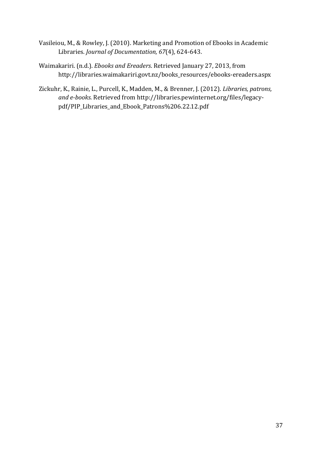- Vasileiou, M., & Rowley, J. (2010). Marketing and Promotion of Ebooks in Academic Libraries. *Journal of Documentation, 67*(4), 624-643.
- Waimakariri. (n.d.). *Ebooks and Ereaders*. Retrieved January 27, 2013, from http://libraries.waimakariri.govt.nz/books\_resources/ebooks-ereaders.aspx
- Zickuhr, K., Rainie, L., Purcell, K., Madden, M., & Brenner, J. (2012). *Libraries, patrons, and e-books*. Retrieved from http://libraries.pewinternet.org/files/legacypdf/PIP\_Libraries\_and\_Ebook\_Patrons%206.22.12.pdf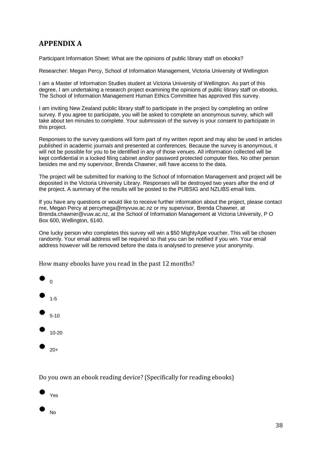# <span id="page-37-0"></span>**APPENDIX A**

Participant Information Sheet: What are the opinions of public library staff on ebooks?

Researcher: Megan Percy, School of Information Management, Victoria University of Wellington

I am a Master of Information Studies student at Victoria University of Wellington. As part of this degree, I am undertaking a research project examining the opinions of public library staff on ebooks. The School of Information Management Human Ethics Committee has approved this survey.

I am inviting New Zealand public library staff to participate in the project by completing an online survey. If you agree to participate, you will be asked to complete an anonymous survey, which will take about ten minutes to complete. Your submission of the survey is your consent to participate in this project.

Responses to the survey questions will form part of my written report and may also be used in articles published in academic journals and presented at conferences. Because the survey is anonymous, it will not be possible for you to be identified in any of those venues. All information collected will be kept confidential in a locked filing cabinet and/or password protected computer files. No other person besides me and my supervisor, Brenda Chawner, will have access to the data.

The project will be submitted for marking to the School of Information Management and project will be deposited in the Victoria University Library. Responses will be destroyed two years after the end of the project. A summary of the results will be posted to the PUBSIG and NZLIBS email lists.

If you have any questions or would like to receive further information about the project, please contact me, Megan Percy at percymega@myvuw.ac.nz or my supervisor, Brenda Chawner, at Brenda.chawner@vuw.ac.nz, at the School of Information Management at Victoria University, P O Box 600, Wellington, 6140.

One lucky person who completes this survey will win a \$50 MightyApe voucher. This will be chosen randomly. Your email address will be required so that you can be notified if you win. Your email address however will be removed before the data is analysed to preserve your anonymity.

How many ebooks have you read in the past 12 months?



Do you own an ebook reading device? (Specifically for reading ebooks)

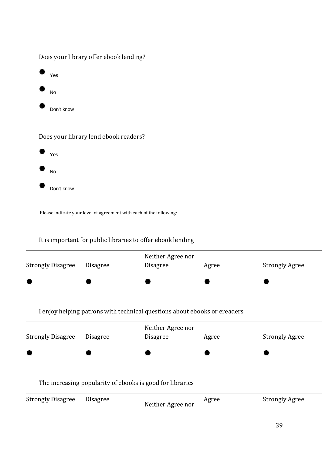|           | Does your library offer ebook lending? |
|-----------|----------------------------------------|
| ۰         | Yes                                    |
| $\bullet$ | <b>No</b>                              |
| ×         | Don't know                             |
|           |                                        |

Does your library lend ebook readers?



Please indicate your level of agreement with each of the following:

#### It is important for public libraries to offer ebook lending

| <b>Strongly Disagree</b> | <b>Disagree</b>                                                           | Neither Agree nor<br><b>Disagree</b> | Agree | <b>Strongly Agree</b> |
|--------------------------|---------------------------------------------------------------------------|--------------------------------------|-------|-----------------------|
|                          |                                                                           |                                      |       |                       |
|                          | I enjoy helping patrons with technical questions about ebooks or ereaders |                                      |       |                       |
| <b>Strongly Disagree</b> | <b>Disagree</b>                                                           | Neither Agree nor<br><b>Disagree</b> | Agree | <b>Strongly Agree</b> |
|                          |                                                                           |                                      |       |                       |
|                          | The increasing popularity of ebooks is good for libraries                 |                                      |       |                       |
| <b>Strongly Disagree</b> | <b>Disagree</b>                                                           | Neither Agree nor                    | Agree | <b>Strongly Agree</b> |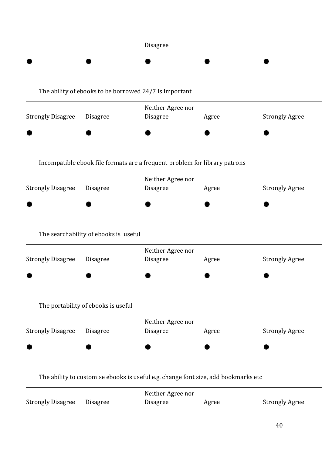|                          |                                       | Disagree                                                                           |       |                       |
|--------------------------|---------------------------------------|------------------------------------------------------------------------------------|-------|-----------------------|
|                          |                                       |                                                                                    |       |                       |
|                          |                                       | The ability of ebooks to be borrowed 24/7 is important                             |       |                       |
| <b>Strongly Disagree</b> | Disagree                              | Neither Agree nor<br>Disagree                                                      | Agree | <b>Strongly Agree</b> |
|                          |                                       |                                                                                    |       |                       |
|                          |                                       | Incompatible ebook file formats are a frequent problem for library patrons         |       |                       |
| <b>Strongly Disagree</b> | Disagree                              | Neither Agree nor<br>Disagree                                                      | Agree | <b>Strongly Agree</b> |
|                          |                                       |                                                                                    |       |                       |
|                          | The searchability of ebooks is useful |                                                                                    |       |                       |
| <b>Strongly Disagree</b> | Disagree                              | Neither Agree nor<br><b>Disagree</b>                                               | Agree | <b>Strongly Agree</b> |
|                          |                                       |                                                                                    |       |                       |
|                          | The portability of ebooks is useful   |                                                                                    |       |                       |
| <b>Strongly Disagree</b> | Disagree                              | Neither Agree nor<br>Disagree                                                      | Agree | <b>Strongly Agree</b> |
|                          |                                       |                                                                                    |       |                       |
|                          |                                       | The ability to customise ebooks is useful e.g. change font size, add bookmarks etc |       |                       |
| <b>Strongly Disagree</b> | Disagree                              | Neither Agree nor<br>Disagree                                                      | Agree | <b>Strongly Agree</b> |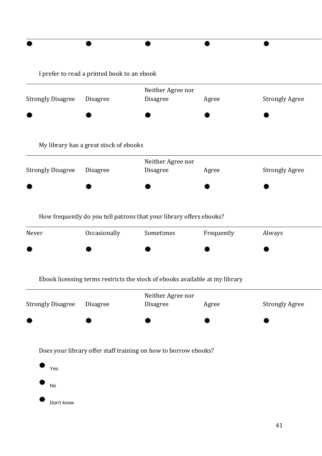|                          | I prefer to read a printed book to an ebook |                                                                             |            |                       |
|--------------------------|---------------------------------------------|-----------------------------------------------------------------------------|------------|-----------------------|
|                          |                                             | Neither Agree nor                                                           |            |                       |
| <b>Strongly Disagree</b> | Disagree                                    | Disagree                                                                    | Agree      | <b>Strongly Agree</b> |
|                          |                                             |                                                                             |            |                       |
|                          | My library has a great stock of ebooks      |                                                                             |            |                       |
|                          |                                             | Neither Agree nor                                                           |            |                       |
| <b>Strongly Disagree</b> | Disagree                                    | Disagree                                                                    | Agree      | <b>Strongly Agree</b> |
|                          |                                             |                                                                             |            |                       |
|                          |                                             | How frequently do you tell patrons that your library offers ebooks?         |            |                       |
| Never                    | Occasionally                                | Sometimes                                                                   | Frequently | Always                |
|                          |                                             |                                                                             |            |                       |
|                          |                                             | Ebook licensing terms restricts the stock of ebooks available at my library |            |                       |
|                          |                                             | Neither Agree nor                                                           |            |                       |
| <b>Strongly Disagree</b> | Disagree                                    | Disagree                                                                    | Agree      | <b>Strongly Agree</b> |
|                          |                                             |                                                                             |            |                       |
|                          |                                             | Does your library offer staff training on how to borrow ebooks?             |            |                       |
| Yes                      |                                             |                                                                             |            |                       |
| No                       |                                             |                                                                             |            |                       |
| Don't know               |                                             |                                                                             |            |                       |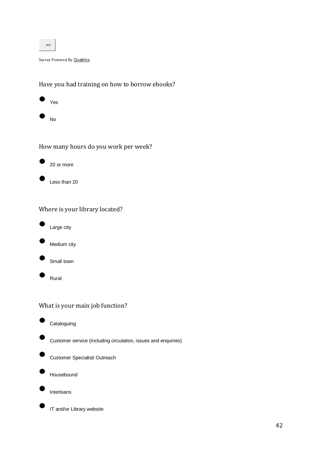

Survey Powered By **[Qualtrics](http://www.qualtrics.com/)** 

Have you had training on how to borrow ebooks?



How many hours do you work per week?



Less than 20

#### Where is your library located?



Medium city

Small town

Rural

#### What is your main job function?

**Cataloguing** 



Customer service (including circulation, issues and enquiries)



Customer Specialist/ Outreach



Interloans

IT and/or Library website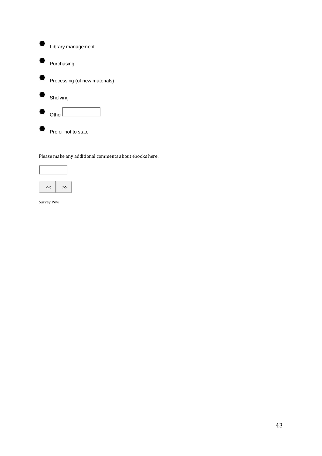| Library management            |
|-------------------------------|
| Purchasing                    |
| Processing (of new materials) |
| Shelving                      |
| $O$ the                       |
| Prefer not to state           |

Please make any additional comments about ebooks here.



Survey Pow